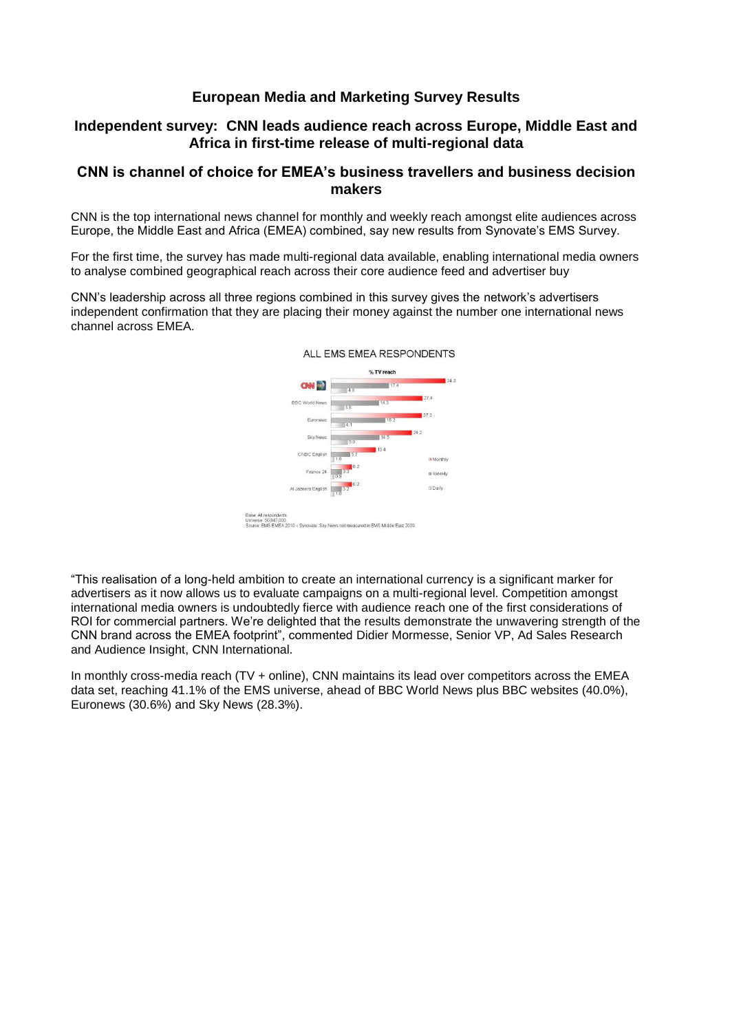# **European Media and Marketing Survey Results**

## **Independent survey: CNN leads audience reach across Europe, Middle East and Africa in first-time release of multi-regional data**

### **CNN is channel of choice for EMEA's business travellers and business decision makers**

CNN is the top international news channel for monthly and weekly reach amongst elite audiences across Europe, the Middle East and Africa (EMEA) combined, say new results from Synovate's EMS Survey.

For the first time, the survey has made multi-regional data available, enabling international media owners to analyse combined geographical reach across their core audience feed and advertiser buy

CNN's leadership across all three regions combined in this survey gives the network's advertisers independent confirmation that they are placing their money against the number one international news channel across EMEA.



"This realisation of a long-held ambition to create an international currency is a significant marker for advertisers as it now allows us to evaluate campaigns on a multi-regional level. Competition amongst international media owners is undoubtedly fierce with audience reach one of the first considerations of ROI for commercial partners. We're delighted that the results demonstrate the unwavering strength of the CNN brand across the EMEA footprint", commented Didier Mormesse, Senior VP, Ad Sales Research and Audience Insight, CNN International.

In monthly cross-media reach (TV + online), CNN maintains its lead over competitors across the EMEA data set, reaching 41.1% of the EMS universe, ahead of BBC World News plus BBC websites (40.0%), Euronews (30.6%) and Sky News (28.3%).